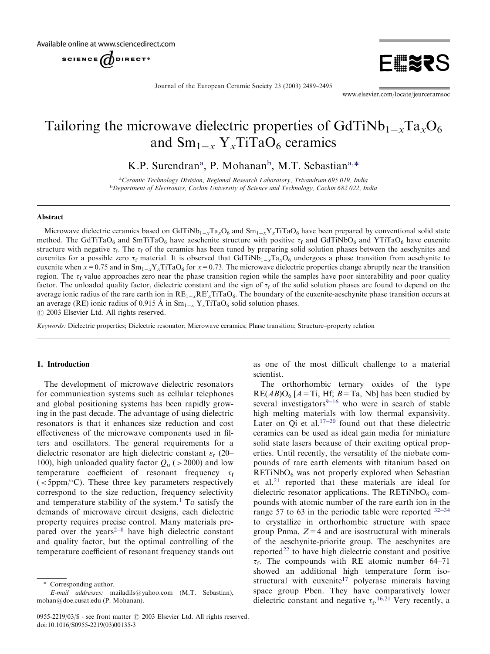Available online at www.sciencedirect.com

SCIENCE UDIRECT<sup>®</sup>



Journal of the European Ceramic Society 23 (2003) 2489–2495

[www.elsevier.com/locate/jeurceramsoc](http://www.elsevier.com/locate/jeurceramsoc/a4.3d)

# Tailoring the microwave dielectric properties of  $GdTiNb_{1-x}Ta_xO_6$ and  $\text{Sm}_{1-x}$  Y<sub>x</sub>TiTaO<sub>6</sub> ceramics

K.P. Surendran<sup>a</sup>, P. Mohanan<sup>b</sup>, M.T. Sebastian<sup>a,\*</sup>

<sup>a</sup>Ceramic Technology Division, Regional Research Laboratory, Trivandrum 695 019, India **bDepartment of Electronics, Cochin University of Science and Technology, Cochin 682 022, India** 

## Abstract

Microwave dielectric ceramics based on GdTiNb<sub>1-x</sub>Ta<sub>x</sub>O<sub>6</sub> and Sm<sub>1-x</sub>Y<sub>x</sub>TiTaO<sub>6</sub> have been prepared by conventional solid state method. The GdTiTaO<sub>6</sub> and SmTiTaO<sub>6</sub> have aeschenite structure with positive  $\tau_f$  and GdTiNbO<sub>6</sub> and YTiTaO<sub>6</sub> have euxenite structure with negative  $\tau_f$ . The  $\tau_f$  of the ceramics has been tuned by preparing solid solution phases between the aeschynites and euxenites for a possible zero  $\tau_f$  material. It is observed that GdTiNb<sub>1-x</sub>Ta<sub>x</sub>O<sub>6</sub> undergoes a phase transition from aeschynite to euxenite when  $x=0.75$  and in  $Sm_{1-x}Y_xTiTaO_6$  for  $x=0.73$ . The microwave dielectric properties change abruptly near the transition region. The  $\tau_f$  value approaches zero near the phase transition region while the samples have poor sinterability and poor quality factor. The unloaded quality factor, dielectric constant and the sign of  $\tau_f$  of the solid solution phases are found to depend on the average ionic radius of the rare earth ion in  $RE_{1-x}RE'_xTiTaO_6$ . The boundary of the euxenite-aeschynite phase transition occurs at an average (RE) ionic radius of 0.915 Å in  $Sm_{1-x} Y_x TiTaO_6$  solid solution phases.

 $\odot$  2003 Elsevier Ltd. All rights reserved.

Keywords: Dielectric properties; Dielectric resonator; Microwave ceramics; Phase transition; Structure–property relation

## 1. Introduction

The development of microwave dielectric resonators for communication systems such as cellular telephones and global positioning systems has been rapidly growing in the past decade. The advantage of using dielectric resonators is that it enhances size reduction and cost effectiveness of the microwave components used in filters and oscillators. The general requirements for a dielectric resonator are high dielectric constant  $\varepsilon_r$  (20– 100), high unloaded quality factor  $Q_{\rm u}$  (>2000) and low temperature coefficient of resonant frequency  $\tau_f$  $(<5$ ppm/ $\degree$ C). These three key parameters respectively correspond to the size reduction, frequency selectivity and temperature stability of the system.<sup>[1](#page-5-0)</sup> To satisfy the demands of microwave circuit designs, each dielectric property requires precise control. Many materials prepared over the years<sup> $2-8$ </sup> have high dielectric constant and quality factor, but the optimal controlling of the temperature coefficient of resonant frequency stands out as one of the most difficult challenge to a material scientist.

The orthorhombic ternary oxides of the type  $RE(AB)O<sub>6</sub>$  [A = Ti, Hf; B = Ta, Nb] has been studied by several investigators $9-16$  $9-16$  $9-16$  who were in search of stable high melting materials with low thermal expansivity. Later on Qi et al. $17-20$  $17-20$  $17-20$  found out that these dielectric ceramics can be used as ideal gain media for miniature solid state lasers because of their exciting optical properties. Until recently, the versatility of the niobate compounds of rare earth elements with titanium based on  $RETiNbO<sub>6</sub>$  was not properly explored when Sebastian et al.[21](#page-5-0) reported that these materials are ideal for dielectric resonator applications. The RETiNbO $_6$  compounds with atomic number of the rare earth ion in the range 57 to 63 in the periodic table were reported  $32-34$  $32-34$  $32-34$ to crystallize in orthorhombic structure with space group Pnma,  $Z=4$  and are isostructural with minerals of the aeschynite-priorite group. The aeschynites are reported<sup>[22](#page-5-0)</sup> to have high dielectric constant and positive  $\tau_f$ . The compounds with RE atomic number 64–71 showed an additional high temperature form iso-structural with euxenite<sup>[17](#page-5-0)</sup> polycrase minerals having space group Pbcn. They have comparatively lower dielectric constant and negative  $\tau_f$ .<sup>[16,21](#page-5-0)</sup> Very recently, a

<sup>\*</sup> Corresponding author.

E-mail addresses: [mailadils@yahoo.com](mailto:mailadils@yahoo.com) (M.T. Sebastian), [mohan@doe.cusat.edu](mailto:mohan@doe.cusat.edu) (P. Mohanan).

<sup>0955-2219/03/\$ -</sup> see front matter © 2003 Elsevier Ltd. All rights reserved. doi:10.1016/S0955-2219(03)00135-3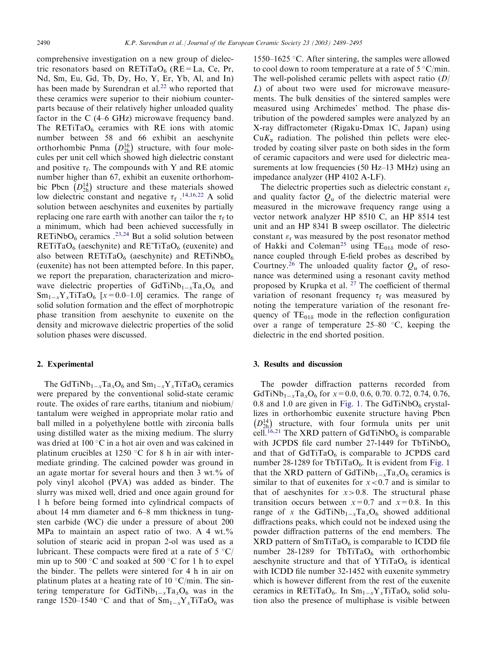comprehensive investigation on a new group of dielectric resonators based on RETiTaO<sub>6</sub> (RE=La, Ce, Pr, Nd, Sm, Eu, Gd, Tb, Dy, Ho, Y, Er, Yb, Al, and In) has been made by Surendran et al.<sup>[22](#page-5-0)</sup> who reported that these ceramics were superior to their niobium counterparts because of their relatively higher unloaded quality factor in the C (4–6 GHz) microwave frequency band. The RETiTaO<sub>6</sub> ceramics with RE ions with atomic number between 58 and 66 exhibit an aeschynite orthorhombic Pnma  $(D_{2h}^{16})$  $(D_{2h}^{16})$  structure, with four molecules per unit cell which showed high dielectric constant and positive  $\tau_f$ . The compounds with Y and RE atomic number higher than 67, exhibit an euxenite orthorhombic Pbcn  $(D_{2h}^{14})$  $(D_{2h}^{14})$  structure and these materials showed low dielectric constant and negative  $\tau_f$ .<sup>[14,16,22](#page-5-0)</sup> A solid solution between aeschynites and euxenites by partially replacing one rare earth with another can tailor the  $\tau_f$  to a minimum, which had been achieved successfully in RETiNbO<sub>6</sub> ceramics .<sup>[23,24](#page-5-0)</sup> But a solid solution between  $RETiTaO<sub>6</sub>$  (aeschynite) and  $RE'TiTaO<sub>6</sub>$  (euxenite) and also between  $RETiTaO_6$  (aeschynite) and  $RETiNbO_6$ (euxenite) has not been attempted before. In this paper, we report the preparation, characterization and microwave dielectric properties of  $GdTiNb_{1-x}Ta_xO_6$  and  $Sm_{1-x}Y_xTiTaO_6$  [ $x=0.0-1.0$ ] ceramics. The range of solid solution formation and the effect of morphotropic phase transition from aeschynite to euxenite on the density and microwave dielectric properties of the solid solution phases were discussed.

## 2. Experimental

The GdTiNb<sub>1-x</sub>Ta<sub>x</sub>O<sub>6</sub> and  $Sm_{1-x}Y_xTiTaO_6$  ceramics were prepared by the conventional solid-state ceramic route. The oxides of rare earths, titanium and niobium/ tantalum were weighed in appropriate molar ratio and ball milled in a polyethylene bottle with zirconia balls using distilled water as the mixing medium. The slurry was dried at  $100^{\circ}$ C in a hot air oven and was calcined in platinum crucibles at 1250  $\degree$ C for 8 h in air with intermediate grinding. The calcined powder was ground in an agate mortar for several hours and then 3 wt.% of poly vinyl alcohol (PVA) was added as binder. The slurry was mixed well, dried and once again ground for 1 h before being formed into cylindrical compacts of about 14 mm diameter and 6–8 mm thickness in tungsten carbide (WC) die under a pressure of about 200 MPa to maintain an aspect ratio of two. A 4 wt. $\%$ solution of stearic acid in propan 2-ol was used as a lubricant. These compacts were fired at a rate of  $5 \degree C$ / min up to 500  $\degree$ C and soaked at 500  $\degree$ C for 1 h to expel the binder. The pellets were sintered for 4 h in air on platinum plates at a heating rate of 10  $\mathrm{C/min}$ . The sintering temperature for GdTiNb<sub>1-x</sub>Ta<sub>x</sub>O<sub>6</sub> was in the range 1520–1540 °C and that of  $Sm_{1-x}Y_xTiTaO_6$  was

1550–1625 °C. After sintering, the samples were allowed to cool down to room temperature at a rate of  $5 °C/min$ . The well-polished ceramic pellets with aspect ratio  $(D)$ L) of about two were used for microwave measurements. The bulk densities of the sintered samples were measured using Archimedes' method. The phase distribution of the powdered samples were analyzed by an X-ray diffractometer (Rigaku-Dmax 1C, Japan) using  $CuK_{\alpha}$  radiation. The polished thin pellets were electroded by coating silver paste on both sides in the form of ceramic capacitors and were used for dielectric measurements at low frequencies (50 Hz–13 MHz) using an impedance analyzer (HP 4102 A-LF).

The dielectric properties such as dielectric constant  $\varepsilon_r$ and quality factor  $Q_{\rm u}$  of the dielectric material were measured in the microwave frequency range using a vector network analyzer HP 8510 C, an HP 8514 test unit and an HP 8341 B sweep oscillator. The dielectric constant  $\varepsilon_r$  was measured by the post resonator method of Hakki and Coleman<sup>[25](#page-5-0)</sup> using  $TE_{01\delta}$  mode of resonance coupled through E-field probes as described by Courtney.<sup>[26](#page-5-0)</sup> The unloaded quality factor  $Q_{\rm u}$  of resonance was determined using a resonant cavity method proposed by Krupka et al. [27](#page-5-0) The coefficient of thermal variation of resonant frequency  $\tau_f$  was measured by noting the temperature variation of the resonant frequency of  $TE_{01\delta}$  mode in the reflection configuration over a range of temperature  $25-80$  °C, keeping the dielectric in the end shorted position.

## 3. Results and discussion

The powder diffraction patterns recorded from GdTiNb<sub>1-x</sub>Ta<sub>x</sub>O<sub>6</sub> for  $x=0.0, 0.6, 0.70, 0.72, 0.74, 0.76$ , 0.8 and 1.0 are given in [Fig. 1](#page-2-0). The GdTiNbO<sub>6</sub> crystallizes in orthorhombic euxenite structure having Pbcn  $D^{14}_{2\rm h}$  $(D_{2h}^{14})$  structure, with four formula units per unit cell.<sup>[16,21](#page-5-0)</sup> The XRD pattern of GdTiNbO<sub>6</sub> is comparable with JCPDS file card number 27-1449 for TbTiNbO<sub>6</sub> and that of  $GdTiTaO<sub>6</sub>$  is comparable to JCPDS card number 28-1289 for TbTiTa $O_6$ . It is evident from [Fig. 1](#page-2-0) that the XRD pattern of GdTiNb<sub>1-x</sub>Ta<sub>x</sub>O<sub>6</sub> ceramics is similar to that of euxenites for  $x < 0.7$  and is similar to that of aeschynites for  $x > 0.8$ . The structural phase transition occurs between  $x=0.7$  and  $x=0.8$ . In this range of x the GdTiNb<sub>1-x</sub>Ta<sub>x</sub>O<sub>6</sub> showed additional diffractions peaks, which could not be indexed using the powder diffraction patterns of the end members. The  $XRD$  pattern of  $SmTiTaO<sub>6</sub>$  is comparable to ICDD file number 28-1289 for TbTiTaO $_6$  with orthorhombic aeschynite structure and that of  $YTiTaO<sub>6</sub>$  is identical with ICDD file number 32-1452 with euxenite symmetry which is however different from the rest of the euxenite ceramics in RETiTaO<sub>6</sub>. In  $Sm_{1-x}Y_xTiTaO_6$  solid solution also the presence of multiphase is visible between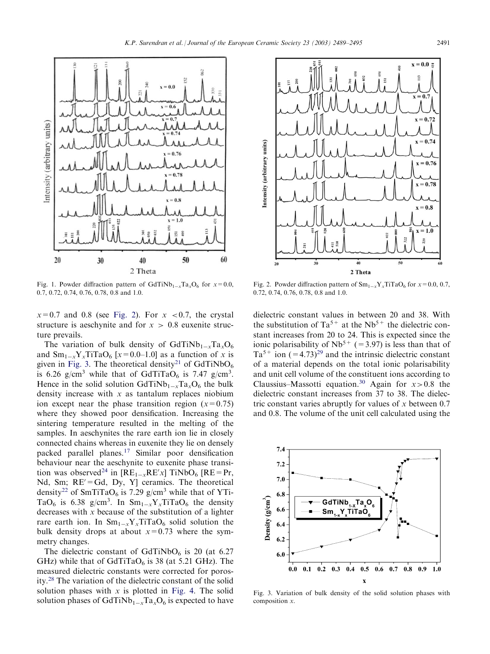<span id="page-2-0"></span>

Fig. 1. Powder diffraction pattern of GdTiNb<sub>1-x</sub>Ta<sub>x</sub>O<sub>6</sub> for  $x=0.0$ , 0.7,0.72,0.74,0.76,0.78,0.8 and 1.0.



Fig. 2. Powder diffraction pattern of  $\text{Sm}_{1-x}\text{Y}_{x}\text{TiTaO}_6$  for  $x=0.0, 0.7$ , 0.72,0.74,0.76,0.78,0.8 and 1.0.

 $x=0.7$  and 0.8 (see Fig. 2). For  $x < 0.7$ , the crystal structure is aeschynite and for  $x > 0.8$  euxenite structure prevails.

The variation of bulk density of  $GdTiNb_{1-x}Ta_xO_6$ and  $Sm_{1-x}Y_xTiTaO_6$  [ $x=0.0-1.0$ ] as a function of x is given in Fig. 3. The theoretical density<sup>[21](#page-5-0)</sup> of GdTiNbO<sub>6</sub> is 6.26 g/cm<sup>3</sup> while that of GdTiTaO<sub>6</sub> is 7.47 g/cm<sup>3</sup>. Hence in the solid solution  $GdTiNb_{1-x}Ta_xO_6$  the bulk density increase with  $x$  as tantalum replaces niobium ion except near the phase transition region  $(x=0.75)$ where they showed poor densification. Increasing the sintering temperature resulted in the melting of the samples. In aeschynites the rare earth ion lie in closely connected chains whereas in euxenite they lie on densely packed parallel planes.[17](#page-5-0) Similar poor densification behaviour near the aeschynite to euxenite phase transi-tion was observed<sup>[24](#page-5-0)</sup> in  $[RE_{1-x}RE'x]$  TiNbO<sub>6</sub>  $[RE=Pr,$ Nd, Sm;  $RE' = Gd$ , Dy, Y] ceramics. The theoretical density<sup>[22](#page-5-0)</sup> of SmTiTaO<sub>6</sub> is 7.29 g/cm<sup>3</sup> while that of YTi-TaO<sub>6</sub> is 6.38 g/cm<sup>3</sup>. In  $\text{Sm}_{1-x}\text{Y}_{x}\text{T}$  it aO<sub>6</sub> the density decreases with  $x$  because of the substitution of a lighter rare earth ion. In  $Sm_{1-x}Y_xTiTaO_6$  solid solution the bulk density drops at about  $x=0.73$  where the symmetry changes.

The dielectric constant of  $GdTiNbO<sub>6</sub>$  is 20 (at 6.27 GHz) while that of GdTiTaO $_6$  is 38 (at 5.21 GHz). The measured dielectric constants were corrected for porosity.[28](#page-6-0) The variation of the dielectric constant of the solid solution phases with  $x$  is plotted in [Fig. 4](#page-3-0). The solid solution phases of GdTiNb<sub>1-x</sub>Ta<sub>x</sub>O<sub>6</sub> is expected to have

dielectric constant values in between 20 and 38. With the substitution of  $Ta^{5+}$  at the Nb<sup>5+</sup> the dielectric constant increases from 20 to 24. This is expected since the ionic polarisability of  $Nb^{5+}$  (=3.97) is less than that of  $Ta^{5+}$  ion  $(=4.73)^{29}$  and the intrinsic dielectric constant of a material depends on the total ionic polarisability and unit cell volume of the constituent ions according to Claussius–Massotti equation.<sup>30</sup> Again for  $x > 0.8$  the dielectric constant increases from 37 to 38. The dielectric constant varies abruptly for values of  $x$  between 0.7 and 0.8. The volume of the unit cell calculated using the



Fig. 3. Variation of bulk density of the solid solution phases with composition x.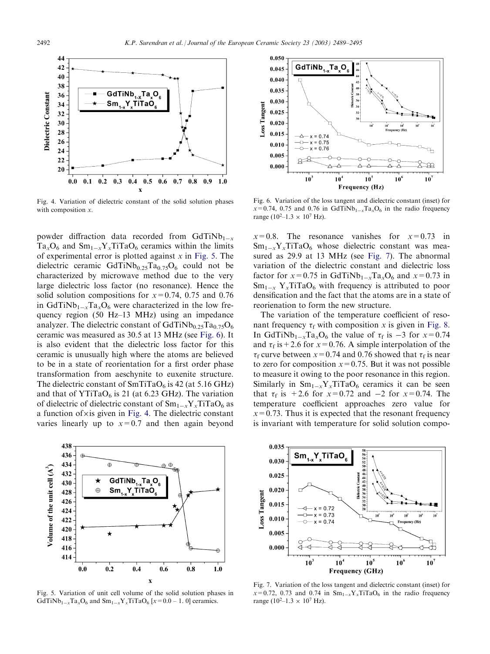<span id="page-3-0"></span>

Fig. 4. Variation of dielectric constant of the solid solution phases with composition  $x$ .

powder diffraction data recorded from GdTiNb<sub>1-x</sub>  $Ta_xO_6$  and  $Sm_{1-x}Y_xTiTaO_6$  ceramics within the limits of experimental error is plotted against  $x$  in Fig. 5. The dielectric ceramic  $GdTiNb<sub>0.25</sub>Ta<sub>0.75</sub>O<sub>6</sub>$  could not be characterized by microwave method due to the very large dielectric loss factor (no resonance). Hence the solid solution compositions for  $x=0.74$ , 0.75 and 0.76 in GdTiNb<sub>1-x</sub>Ta<sub>x</sub>O<sub>6</sub> were characterized in the low frequency region (50 Hz–13 MHz) using an impedance analyzer. The dielectric constant of  $GdTiNb<sub>0.25</sub>Ta<sub>0.75</sub>O<sub>6</sub>$ ceramic was measured as 30.5 at 13 MHz (see Fig. 6). It is also evident that the dielectric loss factor for this ceramic is unusually high where the atoms are believed to be in a state of reorientation for a first order phase transformation from aeschynite to euxenite structure. The dielectric constant of  $SmTiTaO<sub>6</sub>$  is 42 (at 5.16 GHz) and that of YTiTaO $_6$  is 21 (at 6.23 GHz). The variation of dielectric of dielectric constant of  $Sm_{1-x}Y_{x}TiTaO_6$  as a function of  $\times$  is given in Fig. 4. The dielectric constant varies linearly up to  $x=0.7$  and then again beyond



Fig. 5. Variation of unit cell volume of the solid solution phases in GdTiNb<sub>1-x</sub>Ta<sub>x</sub>O<sub>6</sub> and Sm<sub>1-x</sub>Y<sub>x</sub>TiTaO<sub>6</sub> [x=0.0 – 1. 0] ceramics.



Fig. 6. Variation of the loss tangent and dielectric constant (inset) for  $x=0.74$ , 0.75 and 0.76 in GdTiNb<sub>1-x</sub>Ta<sub>x</sub>O<sub>6</sub> in the radio frequency range (10<sup>2</sup>-1.3  $\times$  10<sup>7</sup> Hz).

 $x=0.8$ . The resonance vanishes for  $x=0.73$  in  $Sm_{1-x}Y_xTiTaO_6$  whose dielectric constant was measured as 29.9 at 13 MHz (see Fig. 7). The abnormal variation of the dielectric constant and dielectric loss factor for  $x=0.75$  in GdTiNb<sub>1-x</sub>Ta<sub>x</sub>O<sub>6</sub> and  $x=0.73$  in  $Sm_{1-x}$  Y<sub>x</sub>TiTaO<sub>6</sub> with frequency is attributed to poor densification and the fact that the atoms are in a state of reorienation to form the new structure.

The variation of the temperature coefficient of resonant frequency  $\tau_f$  with composition x is given in [Fig. 8](#page-4-0). In GdTiNb<sub>1-x</sub>Ta<sub>x</sub>O<sub>6</sub> the value of  $\tau_f$  is -3 for  $x=0.74$ and  $\tau_f$  is + 2.6 for x = 0.76. A simple interpolation of the  $\tau_f$  curve between  $x=0.74$  and 0.76 showed that  $\tau_f$  is near to zero for composition  $x=0.75$ . But it was not possible to measure it owing to the poor resonance in this region. Similarly in  $Sm_{1-x}Y_xTiTaO_6$  ceramics it can be seen that  $\tau_f$  is +2.6 for  $x=0.72$  and -2 for  $x=0.74$ . The temperature coefficient approaches zero value for  $x=0.73$ . Thus it is expected that the resonant frequency is invariant with temperature for solid solution compo-



Fig. 7. Variation of the loss tangent and dielectric constant (inset) for  $x=0.72$ , 0.73 and 0.74 in  $Sm_{1-x}Y_xTiTaO_6$  in the radio frequency range (10<sup>2</sup>-1.3  $\times$  10<sup>7</sup> Hz).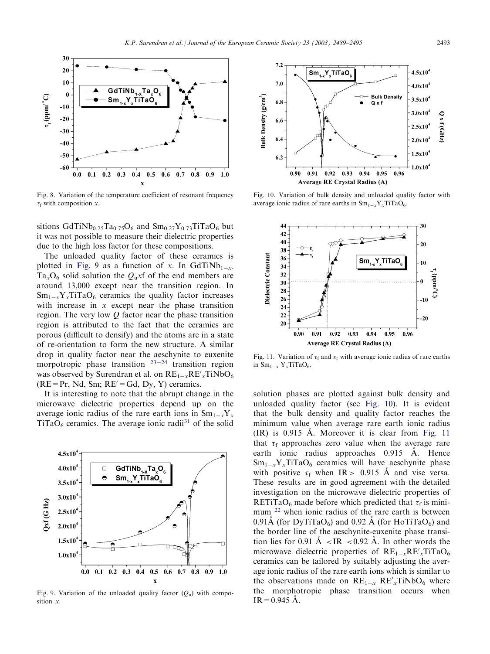<span id="page-4-0"></span>

Fig. 8. Variation of the temperature coefficient of resonant frequency  $\tau_f$  with composition x.

sitions  $GdTiNb<sub>0.25</sub>Ta<sub>0.75</sub>O<sub>6</sub>$  and  $Sm<sub>0.27</sub>Y<sub>0.73</sub>TiTaO<sub>6</sub>$  but it was not possible to measure their dielectric properties due to the high loss factor for these compositions.

The unloaded quality factor of these ceramics is plotted in Fig. 9 as a function of x. In GdTiNb<sub>1-x-</sub>  $Ta_xO_6$  solid solution the  $Q_u$ xf of the end members are around 13,000 except near the transition region. In  $Sm_{1-x}Y_xTiTaO_6$  ceramics the quality factor increases with increase in  $x$  except near the phase transition region. The very low  $Q$  factor near the phase transition region is attributed to the fact that the ceramics are porous (difficult to densify) and the atoms are in a state of re-orientation to form the new structure. A similar drop in quality factor near the aeschynite to euxenite morpotropic phase transition  $23-24$  $23-24$  $23-24$  transition region was observed by Surendran et al. on  $RE_{1-x}RE'_{x}TiNbO_{6}$  $(RE = Pr, Nd, Sm; RE' = Gd, Dy, Y)$  ceramics.

It is interesting to note that the abrupt change in the microwave dielectric properties depend up on the average ionic radius of the rare earth ions in  $Sm_{1-x}Y_x$  $TiTaO<sub>6</sub>$  ceramics. The average ionic radii<sup>[31](#page-6-0)</sup> of the solid



Fig. 9. Variation of the unloaded quality factor  $(Q_u)$  with composition x.



Fig. 10. Variation of bulk density and unloaded quality factor with average ionic radius of rare earths in  $Sm_{1-x}Y_xTiTaO_6$ .



Fig. 11. Variation of  $\tau_f$  and  $\varepsilon_r$  with average ionic radius of rare earths in  $Sm_{1-x} Y_x TiTaO_6$ .

solution phases are plotted against bulk density and unloaded quality factor (see Fig. 10). It is evident that the bulk density and quality factor reaches the minimum value when average rare earth ionic radius  $(IR)$  is 0.915 A. Moreover it is clear from Fig. 11 that  $\tau_f$  approaches zero value when the average rare earth ionic radius approaches 0.915 A. Hence  $Sm_{1-x}Y_xTiTaO_6$  ceramics will have aeschynite phase with positive  $\tau_f$  when IR > 0.915 Å and vise versa. These results are in good agreement with the detailed investigation on the microwave dielectric properties of RETiTaO<sub>6</sub> made before which predicted that  $\tau_f$  is mini-mum <sup>[22](#page-5-0)</sup> when ionic radius of the rare earth is between 0.91Å (for DyTiTaO<sub>6</sub>) and 0.92 Å (for HoTiTaO<sub>6</sub>) and the border line of the aeschynite-euxenite phase transition lies for 0.91  $\AA$  <IR <0.92  $\AA$ . In other words the microwave dielectric properties of  $RE_{1-x}RE'_{x}TiTaO_6$ ceramics can be tailored by suitably adjusting the average ionic radius of the rare earth ions which is similar to the observations made on  $RE_{1-x} RE'_{x} TiNbO_{6}$  where the morphotropic phase transition occurs when  $IR = 0.945 \text{ Å}.$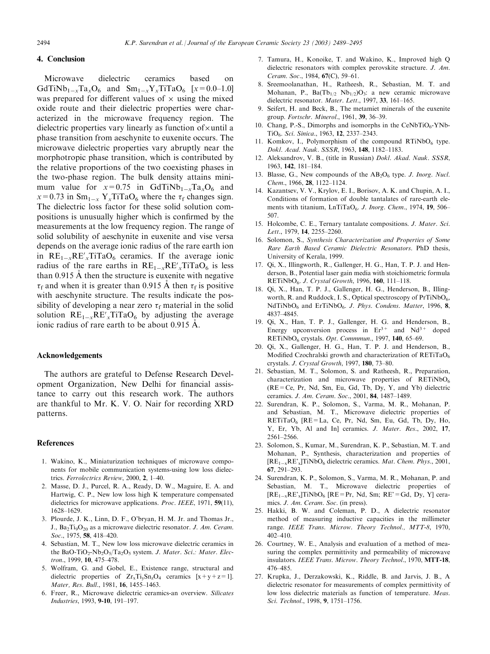## <span id="page-5-0"></span>4. Conclusion

Microwave dielectric ceramics based on  $GdTiNb<sub>1-x</sub>Ta<sub>x</sub>O<sub>6</sub>$  and  $Sm<sub>1-x</sub>Y<sub>x</sub>TiTaO<sub>6</sub>$  [ $x=0.0-1.0$ ] was prepared for different values of  $\times$  using the mixed oxide route and their dielectric properties were characterized in the microwave frequency region. The dielectric properties vary linearly as function of  $\times$  until a phase transition from aeschynite to euxenite occurs. The microwave dielectric properties vary abruptly near the morphotropic phase transition, which is contributed by the relative proportions of the two coexisting phases in the two-phase region. The bulk density attains minimum value for  $x=0.75$  in GdTiNb<sub>1-x</sub>Ta<sub>x</sub>O<sub>6</sub> and  $x=0.73$  in Sm<sub>1-x</sub> Y<sub>x</sub>TiTaO<sub>6</sub> where the  $\tau_f$  changes sign. The dielectric loss factor for these solid solution compositions is unusually higher which is confirmed by the measurements at the low frequency region. The range of solid solubility of aeschynite in euxenite and vise versa depends on the average ionic radius of the rare earth ion in  $RE_{1-x}RE'_xTiTaO_6$  ceramics. If the average ionic radius of the rare earths in  $RE_{1-x}RE'_{x}TiTaO_6$  is less than  $0.915$  Å then the structure is euxenite with negative  $\tau_f$  and when it is greater than 0.915 Å then  $\tau_f$  is positive with aeschynite structure. The results indicate the possibility of developing a near zero  $\tau_f$  material in the solid solution  $RE_{1-x}RE'_xTiTaO_6$  by adjusting the average ionic radius of rare earth to be about  $0.915 \text{ Å}$ .

#### Acknowledgements

The authors are grateful to Defense Research Development Organization, New Delhi for financial assistance to carry out this research work. The authors are thankful to Mr. K. V. O. Nair for recording XRD patterns.

#### References

- 1. Wakino, K., Miniaturization techniques of microwave components for mobile communication systems-using low loss dielectrics. Ferrolectrics Review, 2000, 2, 1-40.
- 2. Masse, D. J., Purcel, R. A., Ready, D. W., Maguire, E. A. and Hartwig, C. P., New low loss high K temperature compensated dielectrics for microwave applications. Proc. IEEE, 1971, 59(11), 1628–1629.
- 3. Plourde, J. K., Linn, D. F., O'bryan, H. M. Jr. and Thomas Jr., J., Ba<sub>2</sub>Ti<sub>9</sub>O<sub>20</sub> as a microwave dielectric resonator. J. Am. Ceram. Soc., 1975, **58**, 418-420.
- 4. Sebastian, M. T., New low loss microwave dielectric ceramics in the BaO-TiO<sub>2</sub>-Nb<sub>2</sub>O<sub>5</sub>/Ta<sub>2</sub>O<sub>5</sub> system. *J. Mater. Sci.: Mater. Elec*tron., 1999, 10, 475-478.
- 5. Wolfram, G. and Gobel, E., Existence range, structural and dielectric properties of  $Zr<sub>x</sub>Ti<sub>y</sub>Sn<sub>z</sub>O<sub>4</sub>$  ceramics  $[x+y+z=1]$ . Mater, Res. Bull., 1981, 16, 1455-1463.
- 6. Freer, R., Microwave dielectric ceramics-an overview. Silicates Industries,1993, 9-10,191–197.
- 7. Tamura,H.,Konoike,T. and Wakino,K.,Improved high Q dielectric resonators with complex perovskite structure. J. Am. Ceram. Soc., 1984, 67(C), 59-61.
- 8. Sreemoolanathan, H., Ratheesh, R., Sebastian, M. T. and Mohanan, P.,  $Ba(Tb_{1/2} Nb_{1/2})O_3$ : a new ceramic microwave dielectric resonator. Mater. Lett., 1997, 33, 161-165.
- 9. Seifert, H. and Beck, B., The metamiet minerals of the euxenite group. Fortschr. Minerol., 1961, 39, 36-39.
- 10. Chang, P.-S., Dimorphs and isomorphs in the CeNbTiO<sub>6</sub>-YNb-TiO<sub>6</sub>. Sci. Sinica., 1963, 12, 2337–2343.
- 11. Komkov, I., Polymorphism of the compound  $RTiNbO<sub>6</sub>$  type. Dokl. Acad. Nauk. SSSR,1963, 148,1182–1183.
- 12. Aleksandrov, V. B., (title in Russian) Dokl. Akad. Nauk. SSSR, 1963, 142,181–184.
- 13. Blasse, G., New compounds of the  $AB_2O_6$  type. J. Inorg. Nucl. Chem.,1966, 28,1122–1124.
- 14. Kazantsev, V. V., Krylov, E. I., Borisov, A. K. and Chupin, A. I., Conditions of formation of double tantalates of rare-earth elements with titanium,  $LnTiTaO<sub>6</sub>$ . *J. Inorg. Chem.*, 1974, **19**, 506– 507.
- 15. Holcombe, C. E., Ternary tantalate compositions. J. Mater. Sci. Lett., 1979, 14, 2255-2260.
- 16. Solomon,S., Synthesis Characterization and Properties of Some Rare Earth Based Ceramic Dielectric Resonators. PhD thesis, University of Kerala,1999.
- 17. Qi, X., Illingworth, R., Gallenger, H. G., Han, T. P. J. and Henderson, B., Potential laser gain media with stoichiometric formula RETiNbO<sub>6</sub>. *J. Crystal Growth*, 1996, 160, 111-118.
- 18. Qi, X., Han, T. P. J., Gallenger, H. G., Henderson, B., Illingworth, R. and Ruddock, I. S., Optical spectroscopy of  $PrTiNbO<sub>6</sub>$ , NdTiNbO<sub>6</sub> and ErTiNbO<sub>6</sub>. J. Phys. Condens. Matter, 1996, 8, 4837–4845.
- 19. Qi, X., Han, T. P. J., Gallenger, H. G. and Henderson, B., Energy upconversion process in  $Er^{3+}$  and  $Nd^{3+}$  doped RETiNbO<sub>6</sub> crystals. Opt. Commmun., 1997, 140, 65-69.
- 20. Qi, X., Gallenger, H. G., Han, T. P. J. and Henderson, B., Modified Czochralski growth and characterization of RETiTaO<sub>6</sub> crystals. J. Crystal Growth,1997, 180,73–80.
- 21. Sebastian, M. T., Solomon, S. and Ratheesh, R., Preparation, characterization and microwave properties of  $RETiNbO<sub>6</sub>$  $(RE=Ce, Pr, Nd, Sm, Eu, Gd, Tb, Dy, Y, and Yb) dielectric$ ceramics. J. Am. Ceram. Soc.,2001, 84,1487–1489.
- 22. Surendran, K. P., Solomon, S., Varma, M. R., Mohanan, P. and Sebastian, M. T., Microwave dielectric properties of  $RETiTaO<sub>6</sub>$   $[RE = La, Ce, Pr, Nd, Sm, Eu, Gd, Tb, Dy, Ho,$ Y, Er, Yb, Al and In] ceramics. J. Mater. Res., 2002, 17, 2561–2566.
- 23. Solomon, S., Kumar, M., Surendran, K. P., Sebastian, M. T. and Mohanan, P., Synthesis, characterization and properties of  $[RE_{1-x}RE'_x]TiNbO_6$  dielectric ceramics. *Mat. Chem. Phys.*, 2001, 67,291–293.
- 24. Surendran, K. P., Solomon, S., Varma, M. R., Mohanan, P. and Sebastian, M. T., Microwave dielectric properties of  $[RE_{1-x}RE'_{x}]TiNbO_6$   $[RE=Pr, Nd, Sm; RE'=Gd, Dy, Y]$  ceramics. J. Am. Ceram. Soc. (in press).
- 25. Hakki,B. W. and Coleman,P. D.,A dielectric resonator method of measuring inductive capacities in the millimeter range. IEEE Trans. Microw. Theory Technol., MTT-8, 1970, 402–410.
- 26. Courtney, W. E., Analysis and evaluation of a method of measuring the complex permittivity and permeability of microwave insulators. IEEE Trans. Microw. Theory Technol., 1970, MTT-18, 476–485.
- 27. Krupka, J., Derzakowski, K., Riddle, B. and Jarvis, J. B., A dielectric resonator for measurements of complex permittivity of low loss dielectric materials as function of temperature. Meas. Sci. Technol.,1998, 9,1751–1756.